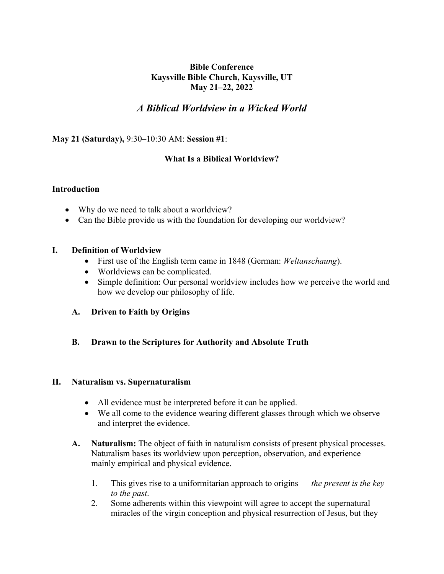# **Bible Conference Kaysville Bible Church, Kaysville, UT May 21–22, 2022**

# *A Biblical Worldview in a Wicked World*

**May 21 (Saturday),** 9:30–10:30 AM: **Session #1**:

# **What Is a Biblical Worldview?**

# **Introduction**

- Why do we need to talk about a worldview?
- Can the Bible provide us with the foundation for developing our worldview?

## **I. Definition of Worldview**

- First use of the English term came in 1848 (German: *Weltanschaung*).
- Worldviews can be complicated.
- Simple definition: Our personal worldview includes how we perceive the world and how we develop our philosophy of life.
- **A. Driven to Faith by Origins**
- **B. Drawn to the Scriptures for Authority and Absolute Truth**

## **II. Naturalism vs. Supernaturalism**

- All evidence must be interpreted before it can be applied.
- We all come to the evidence wearing different glasses through which we observe and interpret the evidence.
- **A. Naturalism:** The object of faith in naturalism consists of present physical processes. Naturalism bases its worldview upon perception, observation, and experience mainly empirical and physical evidence.
	- 1. This gives rise to a uniformitarian approach to origins *the present is the key to the past*.
	- 2. Some adherents within this viewpoint will agree to accept the supernatural miracles of the virgin conception and physical resurrection of Jesus, but they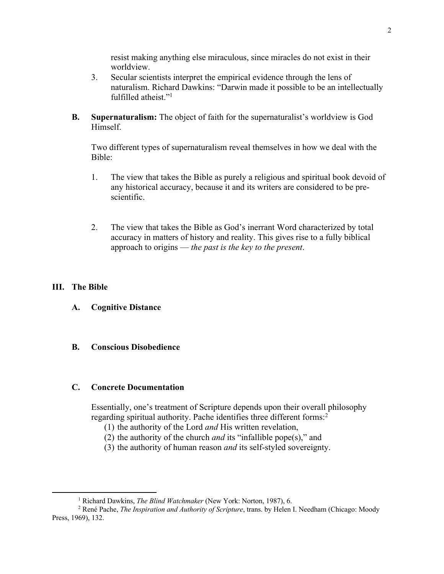resist making anything else miraculous, since miracles do not exist in their worldview.

- 3. Secular scientists interpret the empirical evidence through the lens of naturalism. Richard Dawkins: "Darwin made it possible to be an intellectually fulfilled atheist."<sup>1</sup>
- **B. Supernaturalism:** The object of faith for the supernaturalist's worldview is God Himself.

Two different types of supernaturalism reveal themselves in how we deal with the Bible:

- 1. The view that takes the Bible as purely a religious and spiritual book devoid of any historical accuracy, because it and its writers are considered to be prescientific.
- 2. The view that takes the Bible as God's inerrant Word characterized by total accuracy in matters of history and reality. This gives rise to a fully biblical approach to origins — *the past is the key to the present*.

## **III. The Bible**

**A. Cognitive Distance** 

# **B. Conscious Disobedience**

## **C. Concrete Documentation**

Essentially, one's treatment of Scripture depends upon their overall philosophy regarding spiritual authority. Pache identifies three different forms:<sup>2</sup>

- (1) the authority of the Lord *and* His written revelation,
- (2) the authority of the church *and* its "infallible pope(s)," and
- (3) the authority of human reason *and* its self-styled sovereignty.

<sup>1</sup> Richard Dawkins, *The Blind Watchmaker* (New York: Norton, 1987), 6.

<sup>2</sup> René Pache, *The Inspiration and Authority of Scripture*, trans. by Helen I. Needham (Chicago: Moody Press, 1969), 132.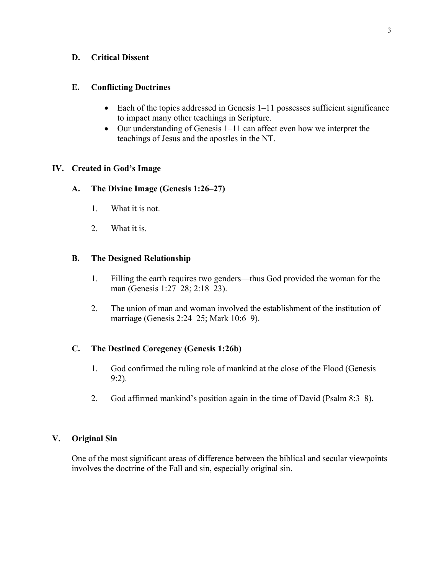## **D. Critical Dissent**

### **E. Conflicting Doctrines**

- Each of the topics addressed in Genesis 1–11 possesses sufficient significance to impact many other teachings in Scripture.
- Our understanding of Genesis 1–11 can affect even how we interpret the teachings of Jesus and the apostles in the NT.

## **IV. Created in God's Image**

### **A. The Divine Image (Genesis 1:26–27)**

- 1. What it is not.
- 2. What it is.

### **B. The Designed Relationship**

- 1. Filling the earth requires two genders—thus God provided the woman for the man (Genesis 1:27–28; 2:18–23).
- 2. The union of man and woman involved the establishment of the institution of marriage (Genesis 2:24–25; Mark 10:6–9).

## **C. The Destined Coregency (Genesis 1:26b)**

- 1. God confirmed the ruling role of mankind at the close of the Flood (Genesis 9:2).
- 2. God affirmed mankind's position again in the time of David (Psalm 8:3–8).

# **V. Original Sin**

One of the most significant areas of difference between the biblical and secular viewpoints involves the doctrine of the Fall and sin, especially original sin.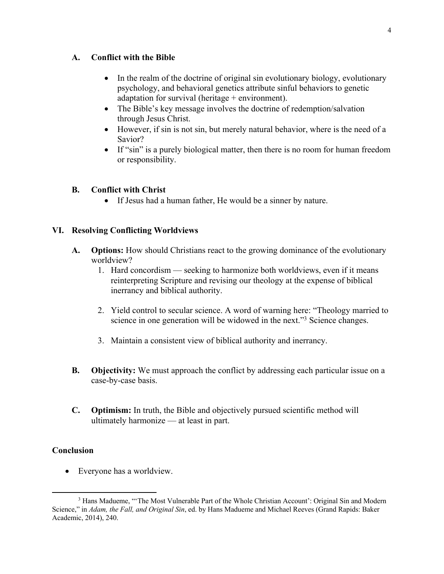#### **A. Conflict with the Bible**

- In the realm of the doctrine of original sin evolutionary biology, evolutionary psychology, and behavioral genetics attribute sinful behaviors to genetic adaptation for survival (heritage  $+$  environment).
- The Bible's key message involves the doctrine of redemption/salvation through Jesus Christ.
- However, if sin is not sin, but merely natural behavior, where is the need of a Savior?
- If "sin" is a purely biological matter, then there is no room for human freedom or responsibility.

## **B. Conflict with Christ**

• If Jesus had a human father, He would be a sinner by nature.

# **VI. Resolving Conflicting Worldviews**

- **A. Options:** How should Christians react to the growing dominance of the evolutionary worldview?
	- 1. Hard concordism seeking to harmonize both worldviews, even if it means reinterpreting Scripture and revising our theology at the expense of biblical inerrancy and biblical authority.
	- 2. Yield control to secular science. A word of warning here: "Theology married to science in one generation will be widowed in the next."3 Science changes.
	- 3. Maintain a consistent view of biblical authority and inerrancy.
- **B. Objectivity:** We must approach the conflict by addressing each particular issue on a case-by-case basis.
- **C. Optimism:** In truth, the Bible and objectively pursued scientific method will ultimately harmonize — at least in part.

# **Conclusion**

• Everyone has a worldview.

<sup>&</sup>lt;sup>3</sup> Hans Madueme, "The Most Vulnerable Part of the Whole Christian Account': Original Sin and Modern Science," in *Adam, the Fall, and Original Sin*, ed. by Hans Madueme and Michael Reeves (Grand Rapids: Baker Academic, 2014), 240.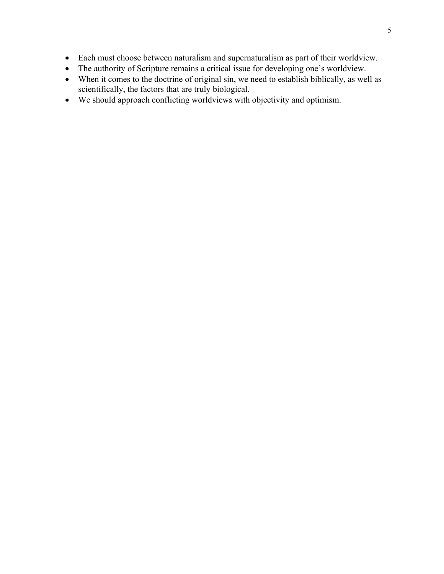- Each must choose between naturalism and supernaturalism as part of their worldview.
- The authority of Scripture remains a critical issue for developing one's worldview.
- When it comes to the doctrine of original sin, we need to establish biblically, as well as scientifically, the factors that are truly biological.
- We should approach conflicting worldviews with objectivity and optimism.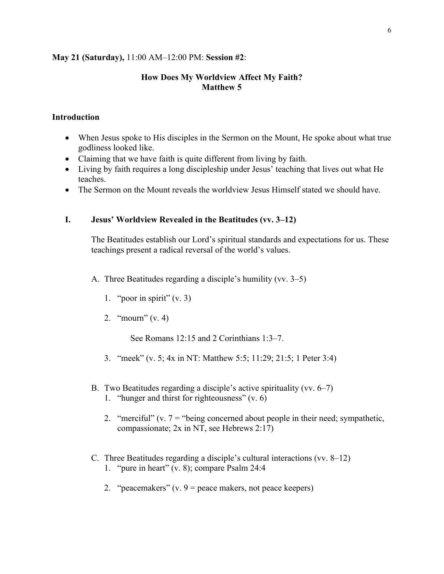#### **May 21 (Saturday),** 11:00 AM–12:00 PM: **Session #2**:

# **How Does My Worldview Affect My Faith? Matthew 5**

### **Introduction**

- When Jesus spoke to His disciples in the Sermon on the Mount, He spoke about what true godliness looked like.
- Claiming that we have faith is quite different from living by faith.
- Living by faith requires a long discipleship under Jesus' teaching that lives out what He teaches.
- The Sermon on the Mount reveals the worldview Jesus Himself stated we should have.

# **I. Jesus' Worldview Revealed in the Beatitudes (vv. 3–12)**

The Beatitudes establish our Lord's spiritual standards and expectations for us. These teachings present a radical reversal of the world's values.

A. Three Beatitudes regarding a disciple's humility (vv. 3–5)

- 1. "poor in spirit"  $(v. 3)$
- 2. "mourn" (v. 4)

See Romans 12:15 and 2 Corinthians 1:3–7.

- 3. "meek" (v. 5; 4x in NT: Matthew 5:5; 11:29; 21:5; 1 Peter 3:4)
- B. Two Beatitudes regarding a disciple's active spirituality (vv. 6–7)
	- 1. "hunger and thirst for righteousness" (v. 6)
	- 2. "merciful" (v.  $7 =$  "being concerned about people in their need; sympathetic, compassionate; 2x in NT, see Hebrews 2:17)
- C. Three Beatitudes regarding a disciple's cultural interactions (vv. 8–12) 1. "pure in heart" (v. 8); compare Psalm 24:4
	- 2. "peacemakers"  $(v. 9$  = peace makers, not peace keepers)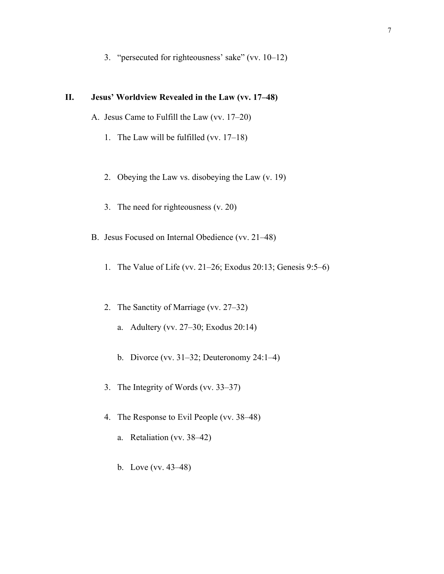3. "persecuted for righteousness' sake" (vv. 10–12)

# **II. Jesus' Worldview Revealed in the Law (vv. 17–48)**

- A. Jesus Came to Fulfill the Law (vv. 17–20)
	- 1. The Law will be fulfilled (vv. 17–18)
	- 2. Obeying the Law vs. disobeying the Law (v. 19)
	- 3. The need for righteousness (v. 20)
- B. Jesus Focused on Internal Obedience (vv. 21–48)
	- 1. The Value of Life (vv. 21–26; Exodus 20:13; Genesis 9:5–6)
	- 2. The Sanctity of Marriage (vv. 27–32)
		- a. Adultery (vv. 27–30; Exodus 20:14)
		- b. Divorce (vv. 31–32; Deuteronomy 24:1–4)
	- 3. The Integrity of Words (vv. 33–37)
	- 4. The Response to Evil People (vv. 38–48)
		- a. Retaliation (vv. 38–42)
		- b. Love (vv. 43–48)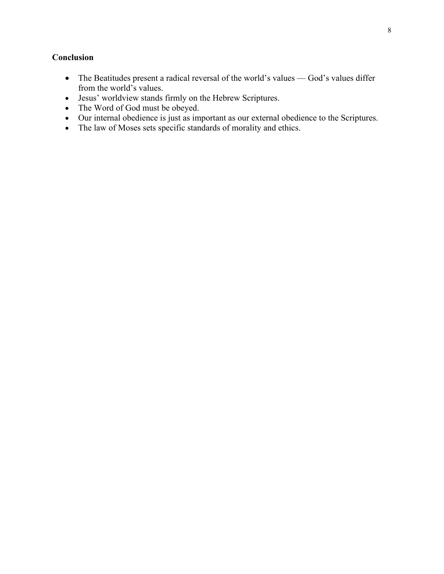# **Conclusion**

- The Beatitudes present a radical reversal of the world's values God's values differ from the world's values.
- Jesus' worldview stands firmly on the Hebrew Scriptures.
- The Word of God must be obeyed.
- Our internal obedience is just as important as our external obedience to the Scriptures.
- The law of Moses sets specific standards of morality and ethics.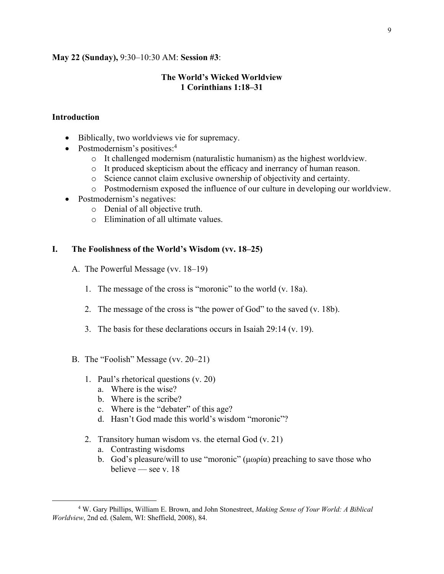#### **May 22 (Sunday),** 9:30–10:30 AM: **Session #3**:

# **The World's Wicked Worldview 1 Corinthians 1:18–31**

#### **Introduction**

- Biblically, two worldviews vie for supremacy.
- Postmodernism's positives:<sup>4</sup>
	- $\circ$  It challenged modernism (naturalistic humanism) as the highest worldview.
	- o It produced skepticism about the efficacy and inerrancy of human reason.
	- o Science cannot claim exclusive ownership of objectivity and certainty.
	- o Postmodernism exposed the influence of our culture in developing our worldview.
- Postmodernism's negatives:
	- o Denial of all objective truth.
	- o Elimination of all ultimate values.

#### **I. The Foolishness of the World's Wisdom (vv. 18–25)**

- A. The Powerful Message (vv. 18–19)
	- 1. The message of the cross is "moronic" to the world (v. 18a).
	- 2. The message of the cross is "the power of God" to the saved (v. 18b).
	- 3. The basis for these declarations occurs in Isaiah 29:14 (v. 19).
- B. The "Foolish" Message (vv. 20–21)
	- 1. Paul's rhetorical questions (v. 20)
		- a. Where is the wise?
		- b. Where is the scribe?
		- c. Where is the "debater" of this age?
		- d. Hasn't God made this world's wisdom "moronic"?
	- 2. Transitory human wisdom vs. the eternal God (v. 21)
		- a. Contrasting wisdoms
		- b. God's pleasure/will to use "moronic" (μωρία) preaching to save those who believe — see v. 18

<sup>4</sup> W. Gary Phillips, William E. Brown, and John Stonestreet, *Making Sense of Your World: A Biblical Worldview*, 2nd ed. (Salem, WI: Sheffield, 2008), 84.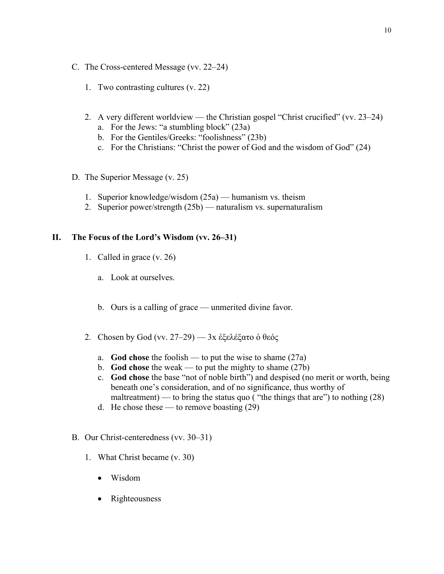- C. The Cross-centered Message (vv. 22–24)
	- 1. Two contrasting cultures (v. 22)
	- 2. A very different worldview the Christian gospel "Christ crucified" (vv. 23–24) a. For the Jews: "a stumbling block" (23a)
		- b. For the Gentiles/Greeks: "foolishness" (23b)
		- c. For the Christians: "Christ the power of God and the wisdom of God" (24)
- D. The Superior Message (v. 25)
	- 1. Superior knowledge/wisdom (25a) humanism vs. theism
	- 2. Superior power/strength (25b) naturalism vs. supernaturalism

### **II. The Focus of the Lord's Wisdom (vv. 26–31)**

- 1. Called in grace (v. 26)
	- a. Look at ourselves.
	- b. Ours is a calling of grace unmerited divine favor.
- 2. Chosen by God (vv. 27–29) 3x ἐξελέξατο ὁ θεός
	- a. **God chose** the foolish to put the wise to shame (27a)
	- b. **God chose** the weak to put the mighty to shame (27b)
	- c. **God chose** the base "not of noble birth") and despised (no merit or worth, being beneath one's consideration, and of no significance, thus worthy of maltreatment) — to bring the status quo ("the things that are") to nothing  $(28)$
	- d. He chose these to remove boasting  $(29)$
- B. Our Christ-centeredness (vv. 30–31)
	- 1. What Christ became (v. 30)
		- Wisdom
		- Righteousness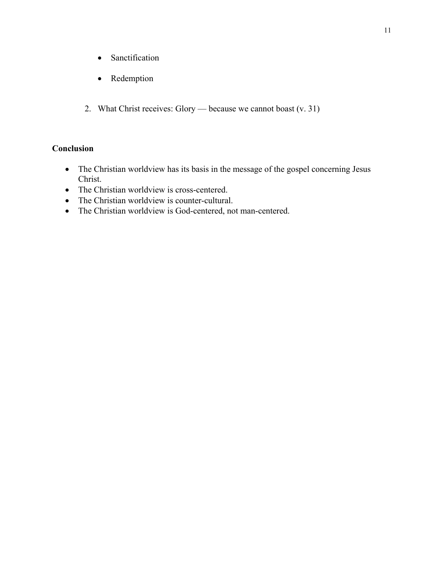- Sanctification
- Redemption
- 2. What Christ receives: Glory because we cannot boast (v. 31)

# **Conclusion**

- The Christian worldview has its basis in the message of the gospel concerning Jesus Christ.
- The Christian worldview is cross-centered.
- The Christian worldview is counter-cultural.
- The Christian worldview is God-centered, not man-centered.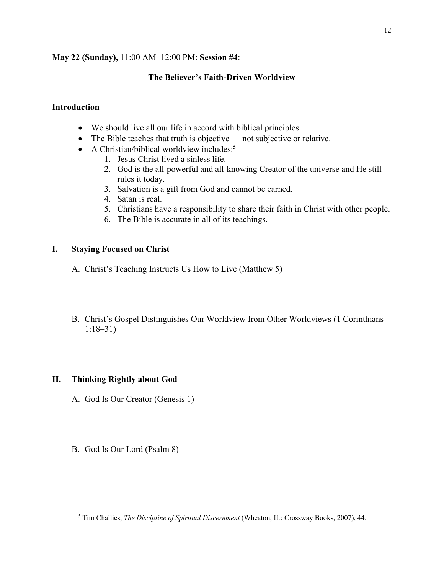# **May 22 (Sunday),** 11:00 AM–12:00 PM: **Session #4**:

# **The Believer's Faith-Driven Worldview**

# **Introduction**

- We should live all our life in accord with biblical principles.
- The Bible teaches that truth is objective not subjective or relative.
- A Christian/biblical worldview includes:<sup>5</sup>
	- 1. Jesus Christ lived a sinless life.
	- 2. God is the all-powerful and all-knowing Creator of the universe and He still rules it today.
	- 3. Salvation is a gift from God and cannot be earned.
	- 4. Satan is real.
	- 5. Christians have a responsibility to share their faith in Christ with other people.
	- 6. The Bible is accurate in all of its teachings.

# **I. Staying Focused on Christ**

- A. Christ's Teaching Instructs Us How to Live (Matthew 5)
- B. Christ's Gospel Distinguishes Our Worldview from Other Worldviews (1 Corinthians 1:18–31)

# **II. Thinking Rightly about God**

- A. God Is Our Creator (Genesis 1)
- B. God Is Our Lord (Psalm 8)

<sup>5</sup> Tim Challies, *The Discipline of Spiritual Discernment* (Wheaton, IL: Crossway Books, 2007), 44.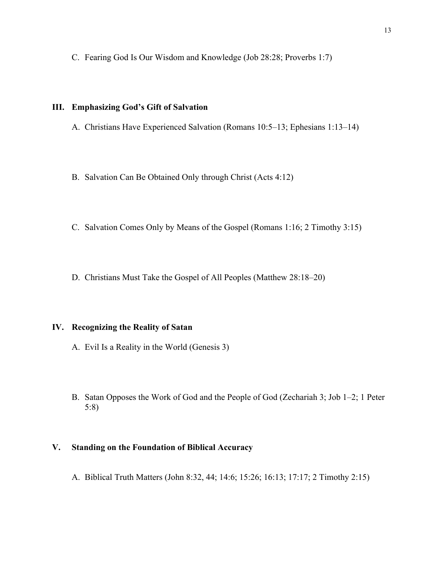C. Fearing God Is Our Wisdom and Knowledge (Job 28:28; Proverbs 1:7)

#### **III. Emphasizing God's Gift of Salvation**

A. Christians Have Experienced Salvation (Romans 10:5–13; Ephesians 1:13–14)

B. Salvation Can Be Obtained Only through Christ (Acts 4:12)

- C. Salvation Comes Only by Means of the Gospel (Romans 1:16; 2 Timothy 3:15)
- D. Christians Must Take the Gospel of All Peoples (Matthew 28:18–20)

## **IV. Recognizing the Reality of Satan**

- A. Evil Is a Reality in the World (Genesis 3)
- B. Satan Opposes the Work of God and the People of God (Zechariah 3; Job 1–2; 1 Peter 5:8)

# **V. Standing on the Foundation of Biblical Accuracy**

A. Biblical Truth Matters (John 8:32, 44; 14:6; 15:26; 16:13; 17:17; 2 Timothy 2:15)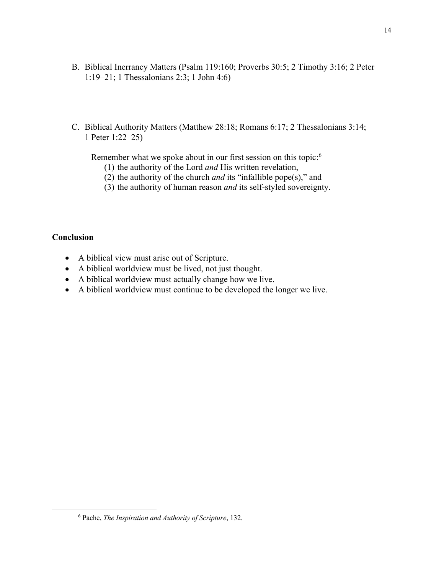- B. Biblical Inerrancy Matters (Psalm 119:160; Proverbs 30:5; 2 Timothy 3:16; 2 Peter 1:19–21; 1 Thessalonians 2:3; 1 John 4:6)
- C. Biblical Authority Matters (Matthew 28:18; Romans 6:17; 2 Thessalonians 3:14; 1 Peter 1:22–25)

Remember what we spoke about in our first session on this topic:<sup>6</sup>

- (1) the authority of the Lord *and* His written revelation,
- (2) the authority of the church *and* its "infallible pope(s)," and
- (3) the authority of human reason *and* its self-styled sovereignty.

## **Conclusion**

- A biblical view must arise out of Scripture.
- A biblical worldview must be lived, not just thought.
- A biblical worldview must actually change how we live.
- A biblical worldview must continue to be developed the longer we live.

<sup>6</sup> Pache, *The Inspiration and Authority of Scripture*, 132.